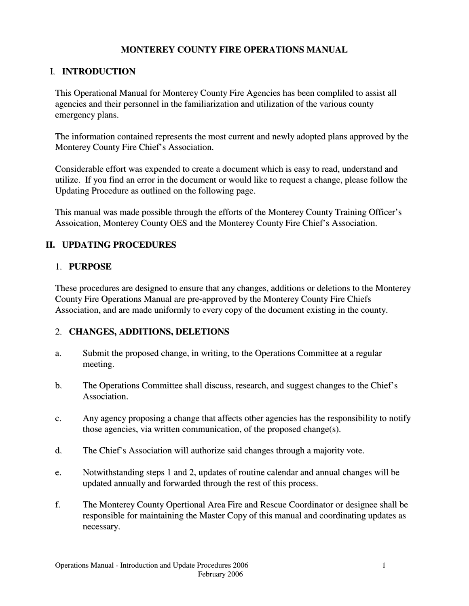## **MONTEREY COUNTY FIRE OPERATIONS MANUAL**

# I. **INTRODUCTION**

This Operational Manual for Monterey County Fire Agencies has been compliled to assist all agencies and their personnel in the familiarization and utilization of the various county emergency plans.

The information contained represents the most current and newly adopted plans approved by the Monterey County Fire Chief's Association.

Considerable effort was expended to create a document which is easy to read, understand and utilize. If you find an error in the document or would like to request a change, please follow the Updating Procedure as outlined on the following page.

This manual was made possible through the efforts of the Monterey County Training Officer's Assoication, Monterey County OES and the Monterey County Fire Chief's Association.

# **II. UPDATING PROCEDURES**

#### 1. **PURPOSE**

These procedures are designed to ensure that any changes, additions or deletions to the Monterey County Fire Operations Manual are pre-approved by the Monterey County Fire Chiefs Association, and are made uniformly to every copy of the document existing in the county.

## 2. **CHANGES, ADDITIONS, DELETIONS**

- a. Submit the proposed change, in writing, to the Operations Committee at a regular meeting.
- b. The Operations Committee shall discuss, research, and suggest changes to the Chief's Association.
- c. Any agency proposing a change that affects other agencies has the responsibility to notify those agencies, via written communication, of the proposed change(s).
- d. The Chief's Association will authorize said changes through a majority vote.
- e. Notwithstanding steps 1 and 2, updates of routine calendar and annual changes will be updated annually and forwarded through the rest of this process.
- f. The Monterey County Opertional Area Fire and Rescue Coordinator or designee shall be responsible for maintaining the Master Copy of this manual and coordinating updates as necessary.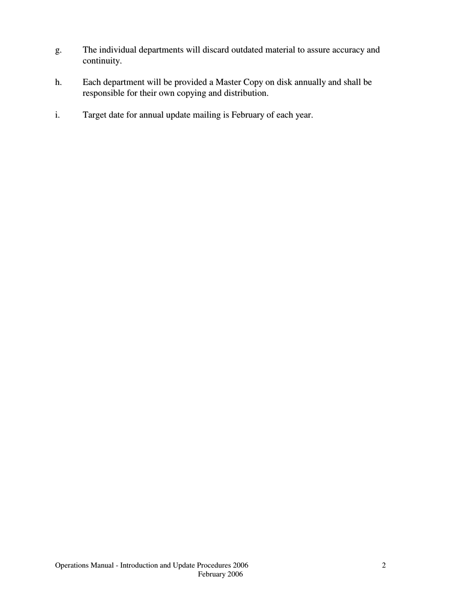- g. The individual departments will discard outdated material to assure accuracy and continuity.
- h. Each department will be provided a Master Copy on disk annually and shall be responsible for their own copying and distribution.
- i. Target date for annual update mailing is February of each year.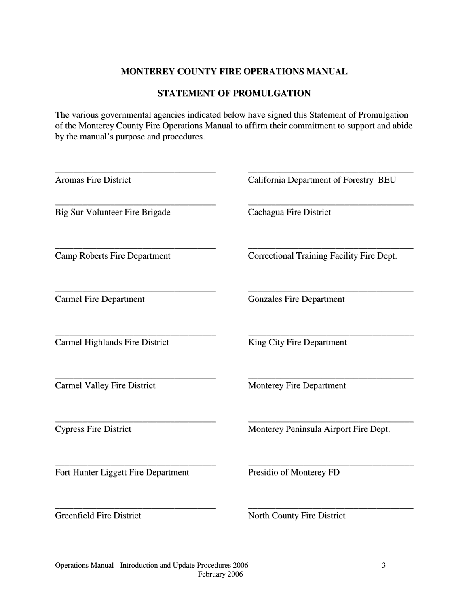### **MONTEREY COUNTY FIRE OPERATIONS MANUAL**

### **STATEMENT OF PROMULGATION**

The various governmental agencies indicated below have signed this Statement of Promulgation of the Monterey County Fire Operations Manual to affirm their commitment to support and abide by the manual's purpose and procedures.

| <b>Aromas Fire District</b>           | California Department of Forestry BEU     |
|---------------------------------------|-------------------------------------------|
| <b>Big Sur Volunteer Fire Brigade</b> | Cachagua Fire District                    |
| <b>Camp Roberts Fire Department</b>   | Correctional Training Facility Fire Dept. |
| <b>Carmel Fire Department</b>         | <b>Gonzales Fire Department</b>           |
| Carmel Highlands Fire District        | King City Fire Department                 |
| <b>Carmel Valley Fire District</b>    | <b>Monterey Fire Department</b>           |
| <b>Cypress Fire District</b>          | Monterey Peninsula Airport Fire Dept.     |
| Fort Hunter Liggett Fire Department   | Presidio of Monterey FD                   |
| <b>Greenfield Fire District</b>       | <b>North County Fire District</b>         |